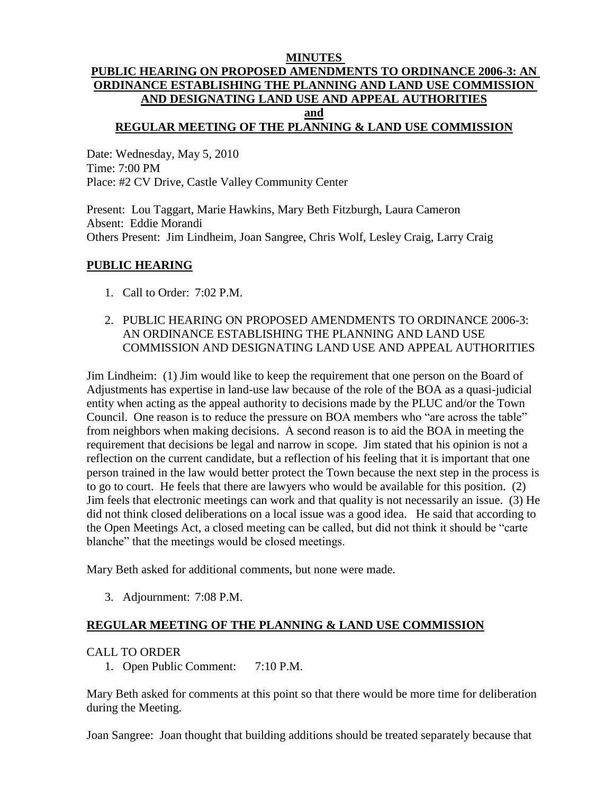### **MINUTES PUBLIC HEARING ON PROPOSED AMENDMENTS TO ORDINANCE 2006-3: AN ORDINANCE ESTABLISHING THE PLANNING AND LAND USE COMMISSION AND DESIGNATING LAND USE AND APPEAL AUTHORITIES and REGULAR MEETING OF THE PLANNING & LAND USE COMMISSION**

Date: Wednesday, May 5, 2010 Time: 7:00 PM Place: #2 CV Drive, Castle Valley Community Center

Present: Lou Taggart, Marie Hawkins, Mary Beth Fitzburgh, Laura Cameron Absent: Eddie Morandi Others Present: Jim Lindheim, Joan Sangree, Chris Wolf, Lesley Craig, Larry Craig

## **PUBLIC HEARING**

- 1. Call to Order: 7:02 P.M.
- 2. PUBLIC HEARING ON PROPOSED AMENDMENTS TO ORDINANCE 2006-3: AN ORDINANCE ESTABLISHING THE PLANNING AND LAND USE COMMISSION AND DESIGNATING LAND USE AND APPEAL AUTHORITIES

Jim Lindheim: (1) Jim would like to keep the requirement that one person on the Board of Adjustments has expertise in land-use law because of the role of the BOA as a quasi-judicial entity when acting as the appeal authority to decisions made by the PLUC and/or the Town Council. One reason is to reduce the pressure on BOA members who "are across the table" from neighbors when making decisions. A second reason is to aid the BOA in meeting the requirement that decisions be legal and narrow in scope. Jim stated that his opinion is not a reflection on the current candidate, but a reflection of his feeling that it is important that one person trained in the law would better protect the Town because the next step in the process is to go to court. He feels that there are lawyers who would be available for this position. (2) Jim feels that electronic meetings can work and that quality is not necessarily an issue. (3) He did not think closed deliberations on a local issue was a good idea. He said that according to the Open Meetings Act, a closed meeting can be called, but did not think it should be "carte blanche" that the meetings would be closed meetings.

Mary Beth asked for additional comments, but none were made.

3. Adjournment: 7:08 P.M.

# **REGULAR MEETING OF THE PLANNING & LAND USE COMMISSION**

#### CALL TO ORDER

1. Open Public Comment: 7:10 P.M.

Mary Beth asked for comments at this point so that there would be more time for deliberation during the Meeting.

Joan Sangree: Joan thought that building additions should be treated separately because that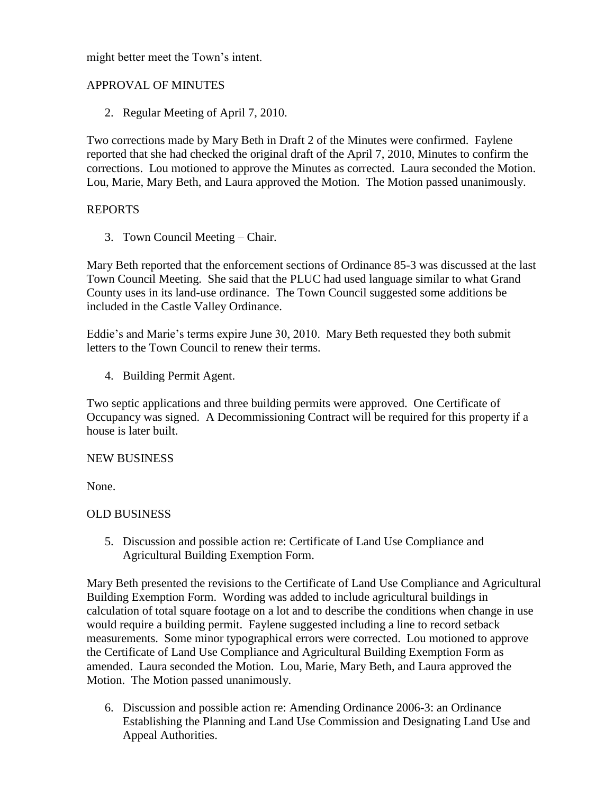might better meet the Town's intent.

# APPROVAL OF MINUTES

2. Regular Meeting of April 7, 2010.

Two corrections made by Mary Beth in Draft 2 of the Minutes were confirmed. Faylene reported that she had checked the original draft of the April 7, 2010, Minutes to confirm the corrections. Lou motioned to approve the Minutes as corrected. Laura seconded the Motion. Lou, Marie, Mary Beth, and Laura approved the Motion. The Motion passed unanimously.

# REPORTS

3. Town Council Meeting – Chair.

Mary Beth reported that the enforcement sections of Ordinance 85-3 was discussed at the last Town Council Meeting. She said that the PLUC had used language similar to what Grand County uses in its land-use ordinance. The Town Council suggested some additions be included in the Castle Valley Ordinance.

Eddie's and Marie's terms expire June 30, 2010. Mary Beth requested they both submit letters to the Town Council to renew their terms.

4. Building Permit Agent.

Two septic applications and three building permits were approved. One Certificate of Occupancy was signed. A Decommissioning Contract will be required for this property if a house is later built.

#### NEW BUSINESS

None.

# OLD BUSINESS

5. Discussion and possible action re: Certificate of Land Use Compliance and Agricultural Building Exemption Form.

Mary Beth presented the revisions to the Certificate of Land Use Compliance and Agricultural Building Exemption Form. Wording was added to include agricultural buildings in calculation of total square footage on a lot and to describe the conditions when change in use would require a building permit. Faylene suggested including a line to record setback measurements. Some minor typographical errors were corrected. Lou motioned to approve the Certificate of Land Use Compliance and Agricultural Building Exemption Form as amended. Laura seconded the Motion. Lou, Marie, Mary Beth, and Laura approved the Motion. The Motion passed unanimously.

6. Discussion and possible action re: Amending Ordinance 2006-3: an Ordinance Establishing the Planning and Land Use Commission and Designating Land Use and Appeal Authorities.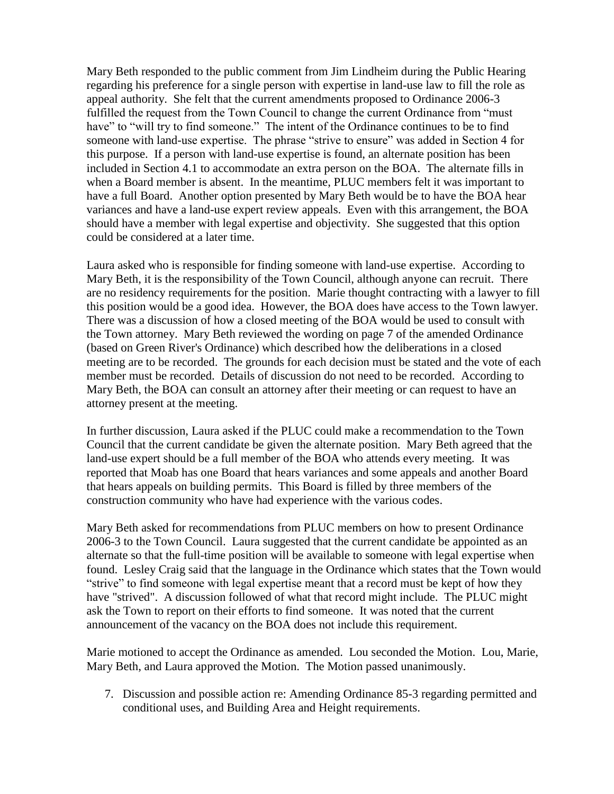Mary Beth responded to the public comment from Jim Lindheim during the Public Hearing regarding his preference for a single person with expertise in land-use law to fill the role as appeal authority. She felt that the current amendments proposed to Ordinance 2006-3 fulfilled the request from the Town Council to change the current Ordinance from "must have" to "will try to find someone." The intent of the Ordinance continues to be to find someone with land-use expertise. The phrase "strive to ensure" was added in Section 4 for this purpose. If a person with land-use expertise is found, an alternate position has been included in Section 4.1 to accommodate an extra person on the BOA. The alternate fills in when a Board member is absent. In the meantime, PLUC members felt it was important to have a full Board. Another option presented by Mary Beth would be to have the BOA hear variances and have a land-use expert review appeals. Even with this arrangement, the BOA should have a member with legal expertise and objectivity. She suggested that this option could be considered at a later time.

Laura asked who is responsible for finding someone with land-use expertise. According to Mary Beth, it is the responsibility of the Town Council, although anyone can recruit. There are no residency requirements for the position. Marie thought contracting with a lawyer to fill this position would be a good idea. However, the BOA does have access to the Town lawyer. There was a discussion of how a closed meeting of the BOA would be used to consult with the Town attorney. Mary Beth reviewed the wording on page 7 of the amended Ordinance (based on Green River's Ordinance) which described how the deliberations in a closed meeting are to be recorded. The grounds for each decision must be stated and the vote of each member must be recorded. Details of discussion do not need to be recorded. According to Mary Beth, the BOA can consult an attorney after their meeting or can request to have an attorney present at the meeting.

In further discussion, Laura asked if the PLUC could make a recommendation to the Town Council that the current candidate be given the alternate position. Mary Beth agreed that the land-use expert should be a full member of the BOA who attends every meeting. It was reported that Moab has one Board that hears variances and some appeals and another Board that hears appeals on building permits. This Board is filled by three members of the construction community who have had experience with the various codes.

Mary Beth asked for recommendations from PLUC members on how to present Ordinance 2006-3 to the Town Council. Laura suggested that the current candidate be appointed as an alternate so that the full-time position will be available to someone with legal expertise when found. Lesley Craig said that the language in the Ordinance which states that the Town would "strive" to find someone with legal expertise meant that a record must be kept of how they have "strived". A discussion followed of what that record might include. The PLUC might ask the Town to report on their efforts to find someone. It was noted that the current announcement of the vacancy on the BOA does not include this requirement.

Marie motioned to accept the Ordinance as amended. Lou seconded the Motion. Lou, Marie, Mary Beth, and Laura approved the Motion. The Motion passed unanimously.

7. Discussion and possible action re: Amending Ordinance 85-3 regarding permitted and conditional uses, and Building Area and Height requirements.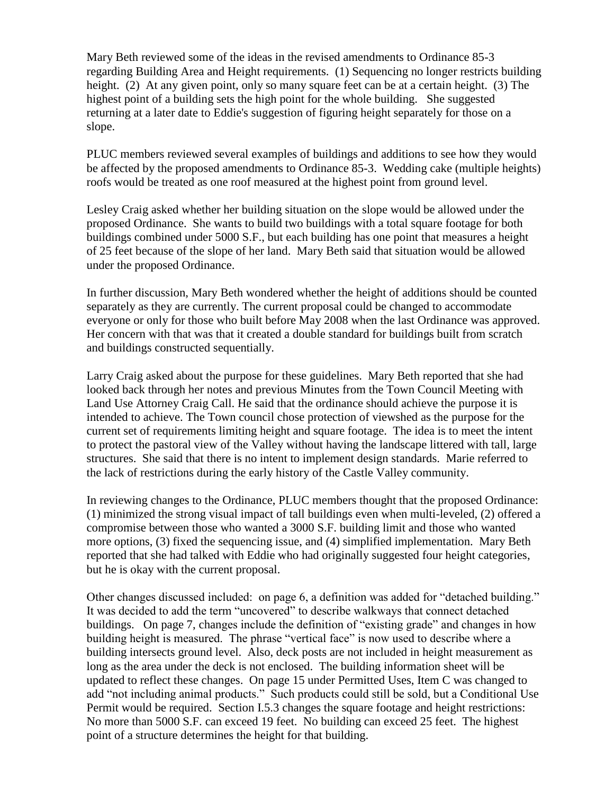Mary Beth reviewed some of the ideas in the revised amendments to Ordinance 85-3 regarding Building Area and Height requirements. (1) Sequencing no longer restricts building height. (2) At any given point, only so many square feet can be at a certain height. (3) The highest point of a building sets the high point for the whole building. She suggested returning at a later date to Eddie's suggestion of figuring height separately for those on a slope.

PLUC members reviewed several examples of buildings and additions to see how they would be affected by the proposed amendments to Ordinance 85-3. Wedding cake (multiple heights) roofs would be treated as one roof measured at the highest point from ground level.

Lesley Craig asked whether her building situation on the slope would be allowed under the proposed Ordinance. She wants to build two buildings with a total square footage for both buildings combined under 5000 S.F., but each building has one point that measures a height of 25 feet because of the slope of her land. Mary Beth said that situation would be allowed under the proposed Ordinance.

In further discussion, Mary Beth wondered whether the height of additions should be counted separately as they are currently. The current proposal could be changed to accommodate everyone or only for those who built before May 2008 when the last Ordinance was approved. Her concern with that was that it created a double standard for buildings built from scratch and buildings constructed sequentially.

Larry Craig asked about the purpose for these guidelines. Mary Beth reported that she had looked back through her notes and previous Minutes from the Town Council Meeting with Land Use Attorney Craig Call. He said that the ordinance should achieve the purpose it is intended to achieve. The Town council chose protection of viewshed as the purpose for the current set of requirements limiting height and square footage. The idea is to meet the intent to protect the pastoral view of the Valley without having the landscape littered with tall, large structures. She said that there is no intent to implement design standards. Marie referred to the lack of restrictions during the early history of the Castle Valley community.

In reviewing changes to the Ordinance, PLUC members thought that the proposed Ordinance: (1) minimized the strong visual impact of tall buildings even when multi-leveled, (2) offered a compromise between those who wanted a 3000 S.F. building limit and those who wanted more options, (3) fixed the sequencing issue, and (4) simplified implementation. Mary Beth reported that she had talked with Eddie who had originally suggested four height categories, but he is okay with the current proposal.

Other changes discussed included: on page 6, a definition was added for "detached building." It was decided to add the term "uncovered" to describe walkways that connect detached buildings. On page 7, changes include the definition of "existing grade" and changes in how building height is measured. The phrase "vertical face" is now used to describe where a building intersects ground level. Also, deck posts are not included in height measurement as long as the area under the deck is not enclosed. The building information sheet will be updated to reflect these changes. On page 15 under Permitted Uses, Item C was changed to add "not including animal products." Such products could still be sold, but a Conditional Use Permit would be required. Section I.5.3 changes the square footage and height restrictions: No more than 5000 S.F. can exceed 19 feet. No building can exceed 25 feet. The highest point of a structure determines the height for that building.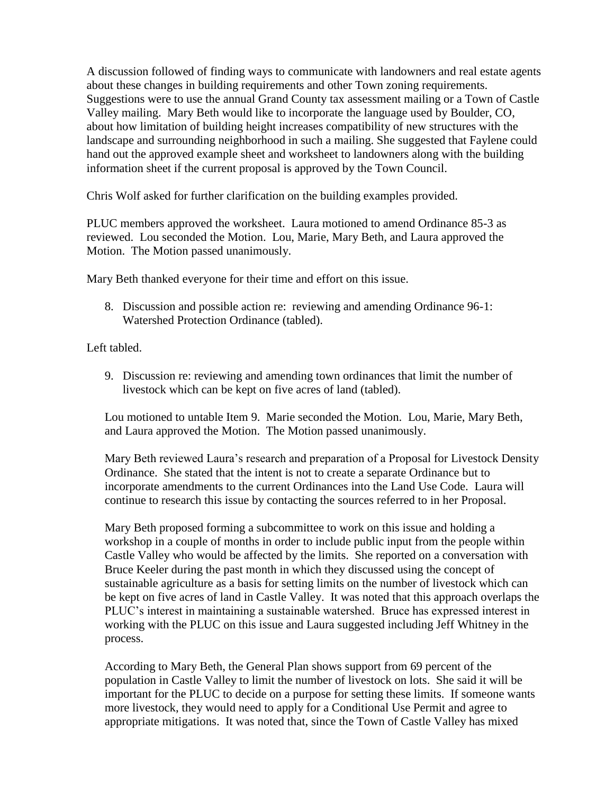A discussion followed of finding ways to communicate with landowners and real estate agents about these changes in building requirements and other Town zoning requirements. Suggestions were to use the annual Grand County tax assessment mailing or a Town of Castle Valley mailing. Mary Beth would like to incorporate the language used by Boulder, CO, about how limitation of building height increases compatibility of new structures with the landscape and surrounding neighborhood in such a mailing. She suggested that Faylene could hand out the approved example sheet and worksheet to landowners along with the building information sheet if the current proposal is approved by the Town Council.

Chris Wolf asked for further clarification on the building examples provided.

PLUC members approved the worksheet. Laura motioned to amend Ordinance 85-3 as reviewed. Lou seconded the Motion. Lou, Marie, Mary Beth, and Laura approved the Motion. The Motion passed unanimously.

Mary Beth thanked everyone for their time and effort on this issue.

8. Discussion and possible action re: reviewing and amending Ordinance 96-1: Watershed Protection Ordinance (tabled).

Left tabled.

9. Discussion re: reviewing and amending town ordinances that limit the number of livestock which can be kept on five acres of land (tabled).

Lou motioned to untable Item 9. Marie seconded the Motion. Lou, Marie, Mary Beth, and Laura approved the Motion. The Motion passed unanimously.

Mary Beth reviewed Laura's research and preparation of a Proposal for Livestock Density Ordinance. She stated that the intent is not to create a separate Ordinance but to incorporate amendments to the current Ordinances into the Land Use Code. Laura will continue to research this issue by contacting the sources referred to in her Proposal.

Mary Beth proposed forming a subcommittee to work on this issue and holding a workshop in a couple of months in order to include public input from the people within Castle Valley who would be affected by the limits. She reported on a conversation with Bruce Keeler during the past month in which they discussed using the concept of sustainable agriculture as a basis for setting limits on the number of livestock which can be kept on five acres of land in Castle Valley. It was noted that this approach overlaps the PLUC's interest in maintaining a sustainable watershed. Bruce has expressed interest in working with the PLUC on this issue and Laura suggested including Jeff Whitney in the process.

According to Mary Beth, the General Plan shows support from 69 percent of the population in Castle Valley to limit the number of livestock on lots. She said it will be important for the PLUC to decide on a purpose for setting these limits. If someone wants more livestock, they would need to apply for a Conditional Use Permit and agree to appropriate mitigations. It was noted that, since the Town of Castle Valley has mixed